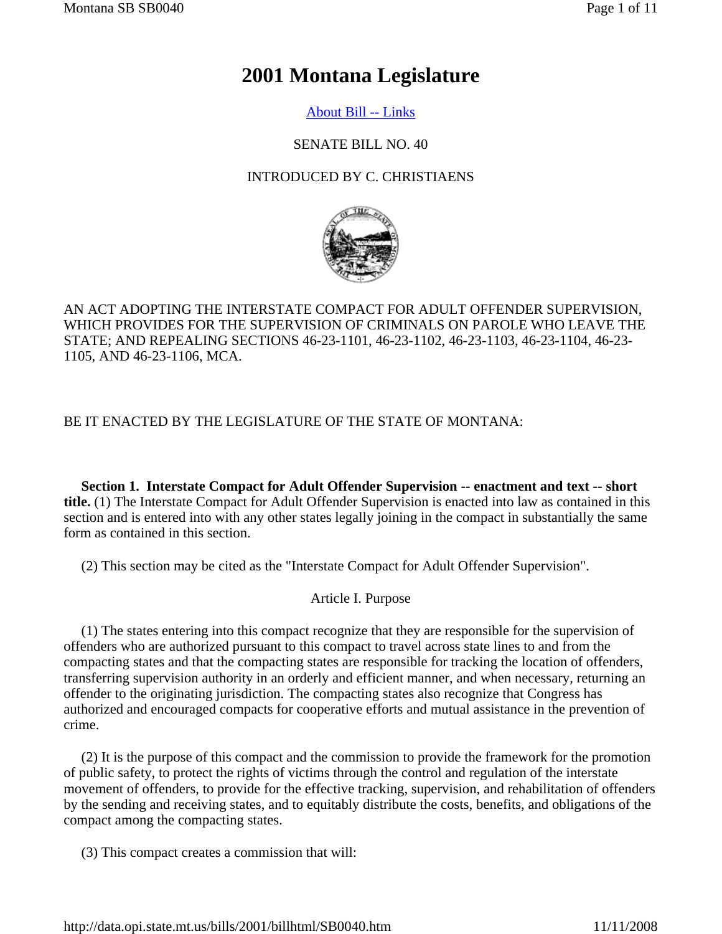# **2001 Montana Legislature**

# About Bill -- Links

## SENATE BILL NO. 40

# INTRODUCED BY C. CHRISTIAENS



AN ACT ADOPTING THE INTERSTATE COMPACT FOR ADULT OFFENDER SUPERVISION, WHICH PROVIDES FOR THE SUPERVISION OF CRIMINALS ON PAROLE WHO LEAVE THE STATE; AND REPEALING SECTIONS 46-23-1101, 46-23-1102, 46-23-1103, 46-23-1104, 46-23- 1105, AND 46-23-1106, MCA.

# BE IT ENACTED BY THE LEGISLATURE OF THE STATE OF MONTANA:

 **Section 1. Interstate Compact for Adult Offender Supervision -- enactment and text -- short title.** (1) The Interstate Compact for Adult Offender Supervision is enacted into law as contained in this section and is entered into with any other states legally joining in the compact in substantially the same form as contained in this section.

(2) This section may be cited as the "Interstate Compact for Adult Offender Supervision".

## Article I. Purpose

 (1) The states entering into this compact recognize that they are responsible for the supervision of offenders who are authorized pursuant to this compact to travel across state lines to and from the compacting states and that the compacting states are responsible for tracking the location of offenders, transferring supervision authority in an orderly and efficient manner, and when necessary, returning an offender to the originating jurisdiction. The compacting states also recognize that Congress has authorized and encouraged compacts for cooperative efforts and mutual assistance in the prevention of crime.

 (2) It is the purpose of this compact and the commission to provide the framework for the promotion of public safety, to protect the rights of victims through the control and regulation of the interstate movement of offenders, to provide for the effective tracking, supervision, and rehabilitation of offenders by the sending and receiving states, and to equitably distribute the costs, benefits, and obligations of the compact among the compacting states.

(3) This compact creates a commission that will: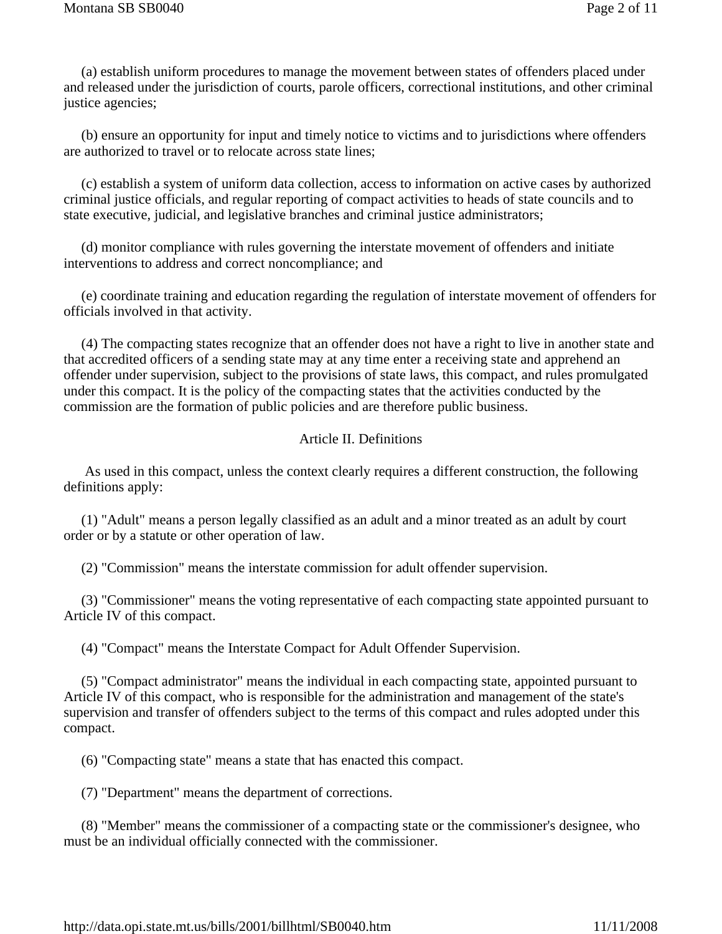(a) establish uniform procedures to manage the movement between states of offenders placed under and released under the jurisdiction of courts, parole officers, correctional institutions, and other criminal justice agencies;

 (b) ensure an opportunity for input and timely notice to victims and to jurisdictions where offenders are authorized to travel or to relocate across state lines;

 (c) establish a system of uniform data collection, access to information on active cases by authorized criminal justice officials, and regular reporting of compact activities to heads of state councils and to state executive, judicial, and legislative branches and criminal justice administrators;

 (d) monitor compliance with rules governing the interstate movement of offenders and initiate interventions to address and correct noncompliance; and

 (e) coordinate training and education regarding the regulation of interstate movement of offenders for officials involved in that activity.

 (4) The compacting states recognize that an offender does not have a right to live in another state and that accredited officers of a sending state may at any time enter a receiving state and apprehend an offender under supervision, subject to the provisions of state laws, this compact, and rules promulgated under this compact. It is the policy of the compacting states that the activities conducted by the commission are the formation of public policies and are therefore public business.

## Article II. Definitions

 As used in this compact, unless the context clearly requires a different construction, the following definitions apply:

 (1) "Adult" means a person legally classified as an adult and a minor treated as an adult by court order or by a statute or other operation of law.

(2) "Commission" means the interstate commission for adult offender supervision.

 (3) "Commissioner" means the voting representative of each compacting state appointed pursuant to Article IV of this compact.

(4) "Compact" means the Interstate Compact for Adult Offender Supervision.

 (5) "Compact administrator" means the individual in each compacting state, appointed pursuant to Article IV of this compact, who is responsible for the administration and management of the state's supervision and transfer of offenders subject to the terms of this compact and rules adopted under this compact.

(6) "Compacting state" means a state that has enacted this compact.

(7) "Department" means the department of corrections.

 (8) "Member" means the commissioner of a compacting state or the commissioner's designee, who must be an individual officially connected with the commissioner.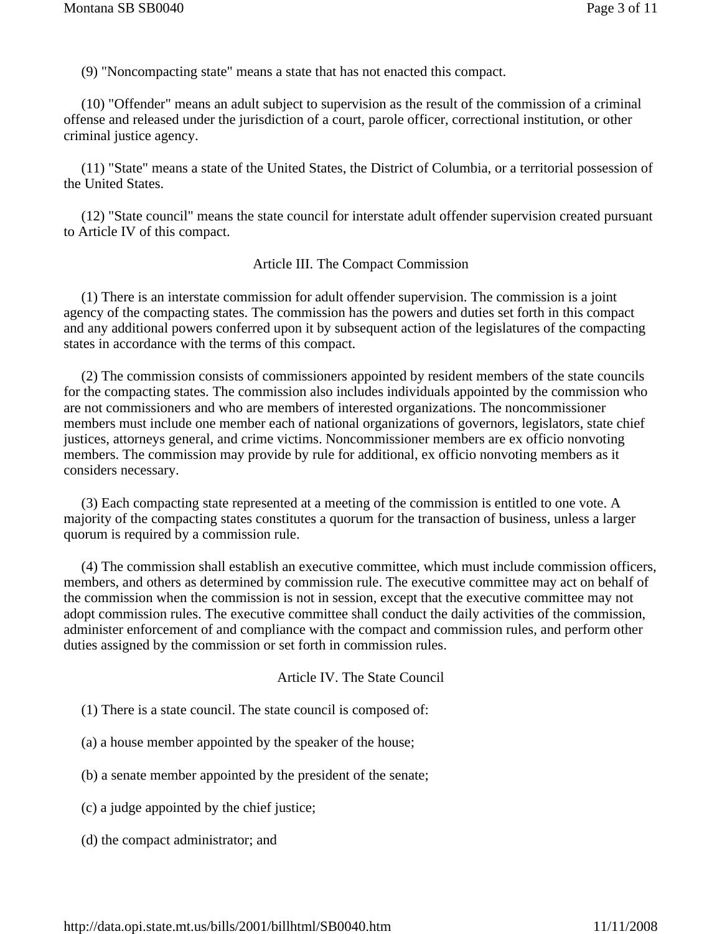(9) "Noncompacting state" means a state that has not enacted this compact.

 (10) "Offender" means an adult subject to supervision as the result of the commission of a criminal offense and released under the jurisdiction of a court, parole officer, correctional institution, or other criminal justice agency.

 (11) "State" means a state of the United States, the District of Columbia, or a territorial possession of the United States.

 (12) "State council" means the state council for interstate adult offender supervision created pursuant to Article IV of this compact.

#### Article III. The Compact Commission

 (1) There is an interstate commission for adult offender supervision. The commission is a joint agency of the compacting states. The commission has the powers and duties set forth in this compact and any additional powers conferred upon it by subsequent action of the legislatures of the compacting states in accordance with the terms of this compact.

 (2) The commission consists of commissioners appointed by resident members of the state councils for the compacting states. The commission also includes individuals appointed by the commission who are not commissioners and who are members of interested organizations. The noncommissioner members must include one member each of national organizations of governors, legislators, state chief justices, attorneys general, and crime victims. Noncommissioner members are ex officio nonvoting members. The commission may provide by rule for additional, ex officio nonvoting members as it considers necessary.

 (3) Each compacting state represented at a meeting of the commission is entitled to one vote. A majority of the compacting states constitutes a quorum for the transaction of business, unless a larger quorum is required by a commission rule.

 (4) The commission shall establish an executive committee, which must include commission officers, members, and others as determined by commission rule. The executive committee may act on behalf of the commission when the commission is not in session, except that the executive committee may not adopt commission rules. The executive committee shall conduct the daily activities of the commission, administer enforcement of and compliance with the compact and commission rules, and perform other duties assigned by the commission or set forth in commission rules.

#### Article IV. The State Council

- (1) There is a state council. The state council is composed of:
- (a) a house member appointed by the speaker of the house;
- (b) a senate member appointed by the president of the senate;
- (c) a judge appointed by the chief justice;
- (d) the compact administrator; and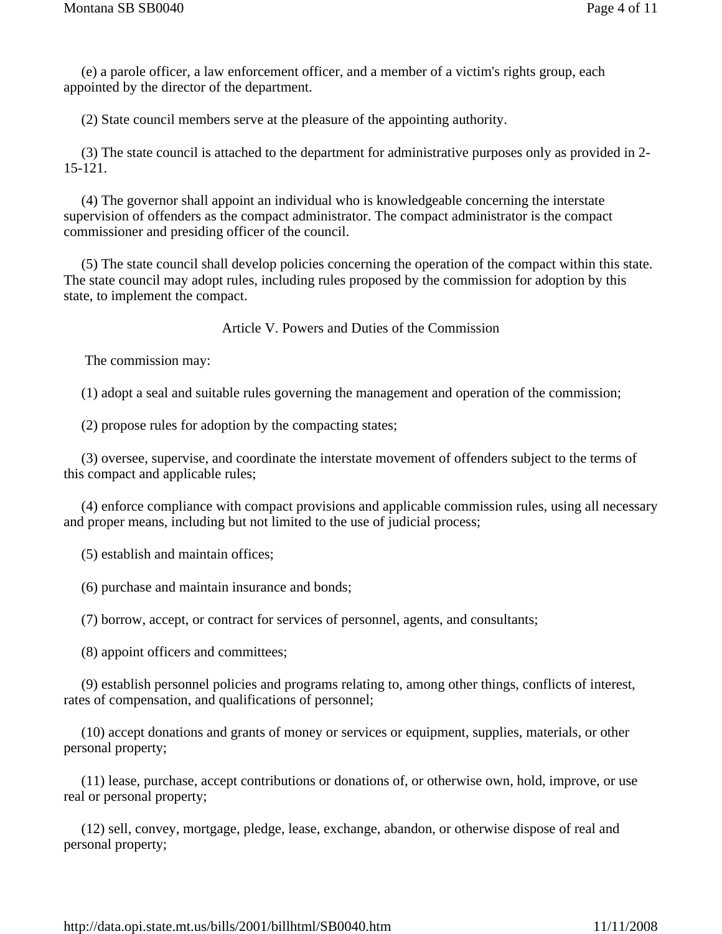(e) a parole officer, a law enforcement officer, and a member of a victim's rights group, each appointed by the director of the department.

(2) State council members serve at the pleasure of the appointing authority.

 (3) The state council is attached to the department for administrative purposes only as provided in 2- 15-121.

 (4) The governor shall appoint an individual who is knowledgeable concerning the interstate supervision of offenders as the compact administrator. The compact administrator is the compact commissioner and presiding officer of the council.

 (5) The state council shall develop policies concerning the operation of the compact within this state. The state council may adopt rules, including rules proposed by the commission for adoption by this state, to implement the compact.

Article V. Powers and Duties of the Commission

The commission may:

(1) adopt a seal and suitable rules governing the management and operation of the commission;

(2) propose rules for adoption by the compacting states;

 (3) oversee, supervise, and coordinate the interstate movement of offenders subject to the terms of this compact and applicable rules;

 (4) enforce compliance with compact provisions and applicable commission rules, using all necessary and proper means, including but not limited to the use of judicial process;

(5) establish and maintain offices;

(6) purchase and maintain insurance and bonds;

(7) borrow, accept, or contract for services of personnel, agents, and consultants;

(8) appoint officers and committees;

 (9) establish personnel policies and programs relating to, among other things, conflicts of interest, rates of compensation, and qualifications of personnel;

 (10) accept donations and grants of money or services or equipment, supplies, materials, or other personal property;

 (11) lease, purchase, accept contributions or donations of, or otherwise own, hold, improve, or use real or personal property;

 (12) sell, convey, mortgage, pledge, lease, exchange, abandon, or otherwise dispose of real and personal property;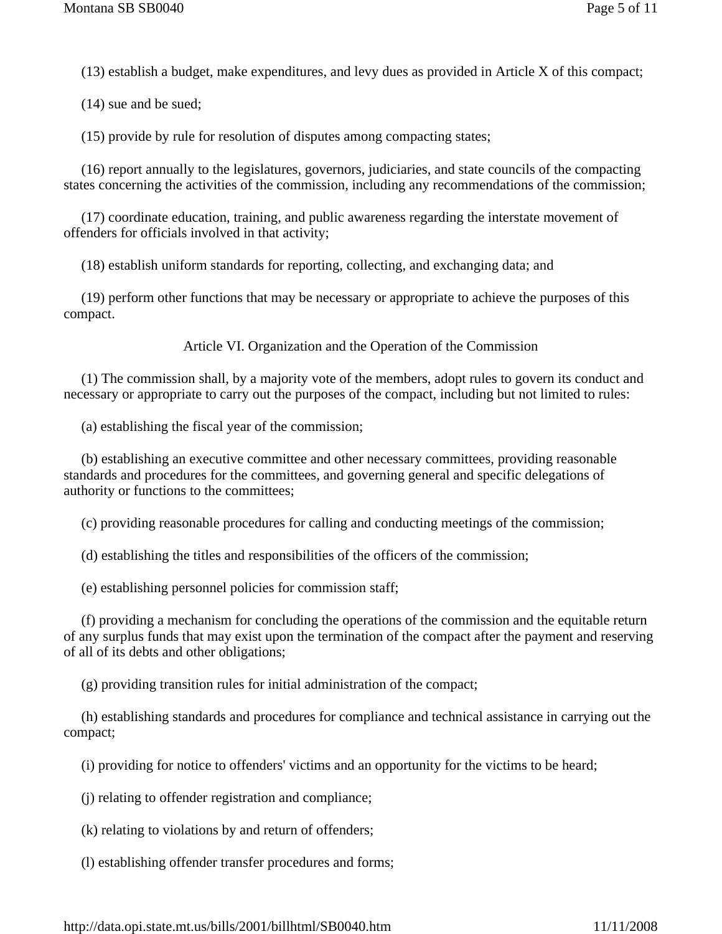(13) establish a budget, make expenditures, and levy dues as provided in Article X of this compact;

(14) sue and be sued;

(15) provide by rule for resolution of disputes among compacting states;

 (16) report annually to the legislatures, governors, judiciaries, and state councils of the compacting states concerning the activities of the commission, including any recommendations of the commission;

 (17) coordinate education, training, and public awareness regarding the interstate movement of offenders for officials involved in that activity;

(18) establish uniform standards for reporting, collecting, and exchanging data; and

 (19) perform other functions that may be necessary or appropriate to achieve the purposes of this compact.

Article VI. Organization and the Operation of the Commission

 (1) The commission shall, by a majority vote of the members, adopt rules to govern its conduct and necessary or appropriate to carry out the purposes of the compact, including but not limited to rules:

(a) establishing the fiscal year of the commission;

 (b) establishing an executive committee and other necessary committees, providing reasonable standards and procedures for the committees, and governing general and specific delegations of authority or functions to the committees;

(c) providing reasonable procedures for calling and conducting meetings of the commission;

(d) establishing the titles and responsibilities of the officers of the commission;

(e) establishing personnel policies for commission staff;

 (f) providing a mechanism for concluding the operations of the commission and the equitable return of any surplus funds that may exist upon the termination of the compact after the payment and reserving of all of its debts and other obligations;

(g) providing transition rules for initial administration of the compact;

 (h) establishing standards and procedures for compliance and technical assistance in carrying out the compact;

(i) providing for notice to offenders' victims and an opportunity for the victims to be heard;

(j) relating to offender registration and compliance;

(k) relating to violations by and return of offenders;

(l) establishing offender transfer procedures and forms;

http://data.opi.state.mt.us/bills/2001/billhtml/SB0040.htm 11/11/2008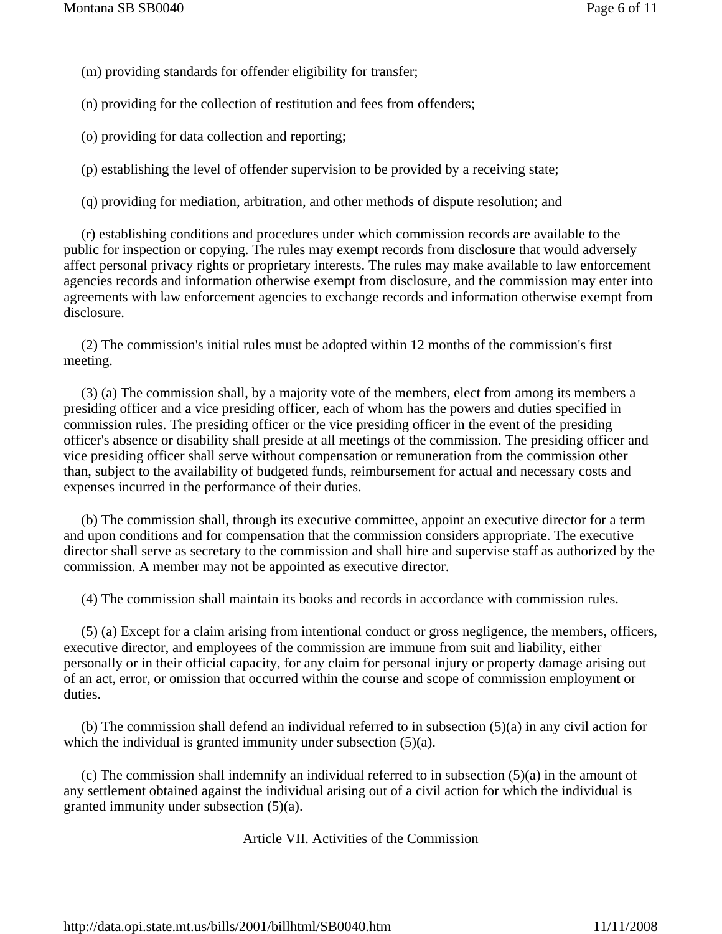- (m) providing standards for offender eligibility for transfer;
- (n) providing for the collection of restitution and fees from offenders;
- (o) providing for data collection and reporting;
- (p) establishing the level of offender supervision to be provided by a receiving state;
- (q) providing for mediation, arbitration, and other methods of dispute resolution; and

 (r) establishing conditions and procedures under which commission records are available to the public for inspection or copying. The rules may exempt records from disclosure that would adversely affect personal privacy rights or proprietary interests. The rules may make available to law enforcement agencies records and information otherwise exempt from disclosure, and the commission may enter into agreements with law enforcement agencies to exchange records and information otherwise exempt from disclosure.

 (2) The commission's initial rules must be adopted within 12 months of the commission's first meeting.

 (3) (a) The commission shall, by a majority vote of the members, elect from among its members a presiding officer and a vice presiding officer, each of whom has the powers and duties specified in commission rules. The presiding officer or the vice presiding officer in the event of the presiding officer's absence or disability shall preside at all meetings of the commission. The presiding officer and vice presiding officer shall serve without compensation or remuneration from the commission other than, subject to the availability of budgeted funds, reimbursement for actual and necessary costs and expenses incurred in the performance of their duties.

 (b) The commission shall, through its executive committee, appoint an executive director for a term and upon conditions and for compensation that the commission considers appropriate. The executive director shall serve as secretary to the commission and shall hire and supervise staff as authorized by the commission. A member may not be appointed as executive director.

(4) The commission shall maintain its books and records in accordance with commission rules.

 (5) (a) Except for a claim arising from intentional conduct or gross negligence, the members, officers, executive director, and employees of the commission are immune from suit and liability, either personally or in their official capacity, for any claim for personal injury or property damage arising out of an act, error, or omission that occurred within the course and scope of commission employment or duties.

 (b) The commission shall defend an individual referred to in subsection (5)(a) in any civil action for which the individual is granted immunity under subsection  $(5)(a)$ .

 (c) The commission shall indemnify an individual referred to in subsection (5)(a) in the amount of any settlement obtained against the individual arising out of a civil action for which the individual is granted immunity under subsection (5)(a).

Article VII. Activities of the Commission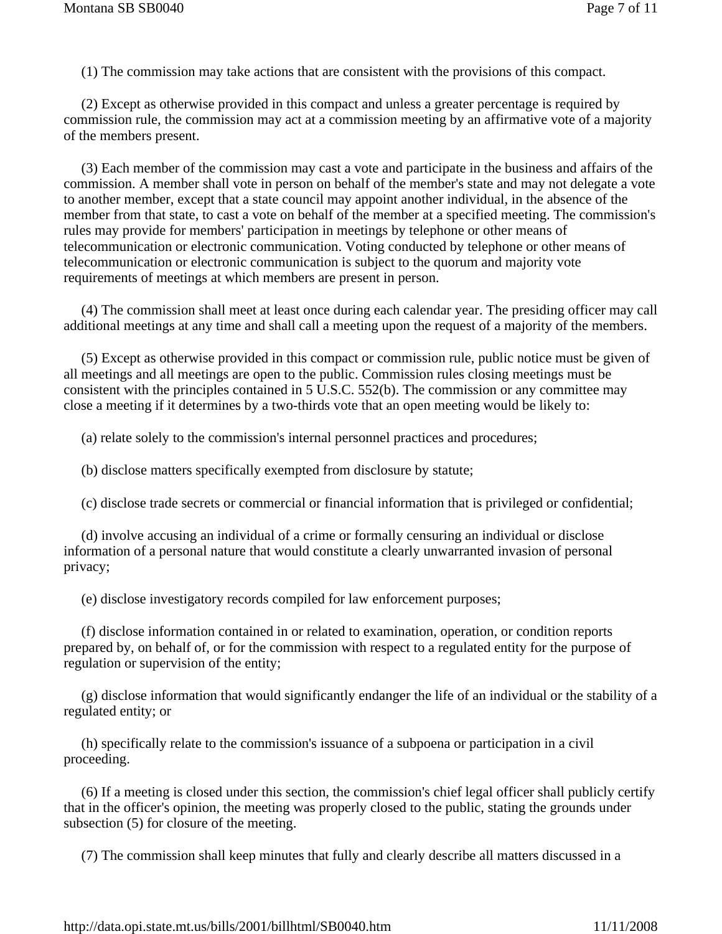(1) The commission may take actions that are consistent with the provisions of this compact.

 (2) Except as otherwise provided in this compact and unless a greater percentage is required by commission rule, the commission may act at a commission meeting by an affirmative vote of a majority of the members present.

 (3) Each member of the commission may cast a vote and participate in the business and affairs of the commission. A member shall vote in person on behalf of the member's state and may not delegate a vote to another member, except that a state council may appoint another individual, in the absence of the member from that state, to cast a vote on behalf of the member at a specified meeting. The commission's rules may provide for members' participation in meetings by telephone or other means of telecommunication or electronic communication. Voting conducted by telephone or other means of telecommunication or electronic communication is subject to the quorum and majority vote requirements of meetings at which members are present in person.

 (4) The commission shall meet at least once during each calendar year. The presiding officer may call additional meetings at any time and shall call a meeting upon the request of a majority of the members.

 (5) Except as otherwise provided in this compact or commission rule, public notice must be given of all meetings and all meetings are open to the public. Commission rules closing meetings must be consistent with the principles contained in 5 U.S.C. 552(b). The commission or any committee may close a meeting if it determines by a two-thirds vote that an open meeting would be likely to:

(a) relate solely to the commission's internal personnel practices and procedures;

(b) disclose matters specifically exempted from disclosure by statute;

(c) disclose trade secrets or commercial or financial information that is privileged or confidential;

 (d) involve accusing an individual of a crime or formally censuring an individual or disclose information of a personal nature that would constitute a clearly unwarranted invasion of personal privacy;

(e) disclose investigatory records compiled for law enforcement purposes;

 (f) disclose information contained in or related to examination, operation, or condition reports prepared by, on behalf of, or for the commission with respect to a regulated entity for the purpose of regulation or supervision of the entity;

 (g) disclose information that would significantly endanger the life of an individual or the stability of a regulated entity; or

 (h) specifically relate to the commission's issuance of a subpoena or participation in a civil proceeding.

 (6) If a meeting is closed under this section, the commission's chief legal officer shall publicly certify that in the officer's opinion, the meeting was properly closed to the public, stating the grounds under subsection  $(5)$  for closure of the meeting.

(7) The commission shall keep minutes that fully and clearly describe all matters discussed in a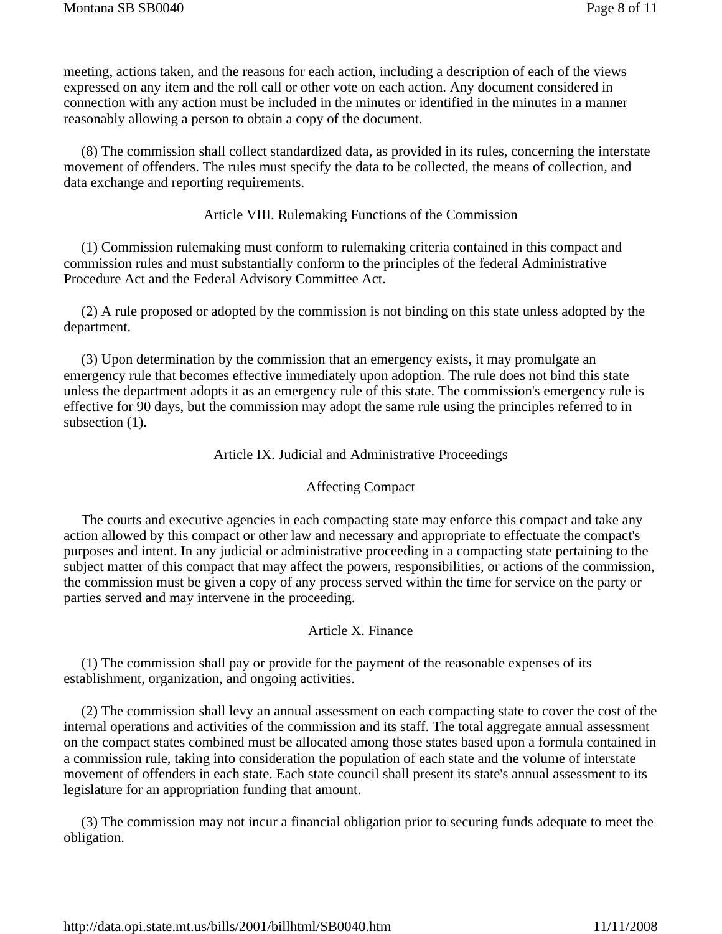meeting, actions taken, and the reasons for each action, including a description of each of the views expressed on any item and the roll call or other vote on each action. Any document considered in connection with any action must be included in the minutes or identified in the minutes in a manner reasonably allowing a person to obtain a copy of the document.

 (8) The commission shall collect standardized data, as provided in its rules, concerning the interstate movement of offenders. The rules must specify the data to be collected, the means of collection, and data exchange and reporting requirements.

#### Article VIII. Rulemaking Functions of the Commission

 (1) Commission rulemaking must conform to rulemaking criteria contained in this compact and commission rules and must substantially conform to the principles of the federal Administrative Procedure Act and the Federal Advisory Committee Act.

 (2) A rule proposed or adopted by the commission is not binding on this state unless adopted by the department.

 (3) Upon determination by the commission that an emergency exists, it may promulgate an emergency rule that becomes effective immediately upon adoption. The rule does not bind this state unless the department adopts it as an emergency rule of this state. The commission's emergency rule is effective for 90 days, but the commission may adopt the same rule using the principles referred to in subsection  $(1)$ .

#### Article IX. Judicial and Administrative Proceedings

#### Affecting Compact

 The courts and executive agencies in each compacting state may enforce this compact and take any action allowed by this compact or other law and necessary and appropriate to effectuate the compact's purposes and intent. In any judicial or administrative proceeding in a compacting state pertaining to the subject matter of this compact that may affect the powers, responsibilities, or actions of the commission, the commission must be given a copy of any process served within the time for service on the party or parties served and may intervene in the proceeding.

#### Article X. Finance

 (1) The commission shall pay or provide for the payment of the reasonable expenses of its establishment, organization, and ongoing activities.

 (2) The commission shall levy an annual assessment on each compacting state to cover the cost of the internal operations and activities of the commission and its staff. The total aggregate annual assessment on the compact states combined must be allocated among those states based upon a formula contained in a commission rule, taking into consideration the population of each state and the volume of interstate movement of offenders in each state. Each state council shall present its state's annual assessment to its legislature for an appropriation funding that amount.

 (3) The commission may not incur a financial obligation prior to securing funds adequate to meet the obligation.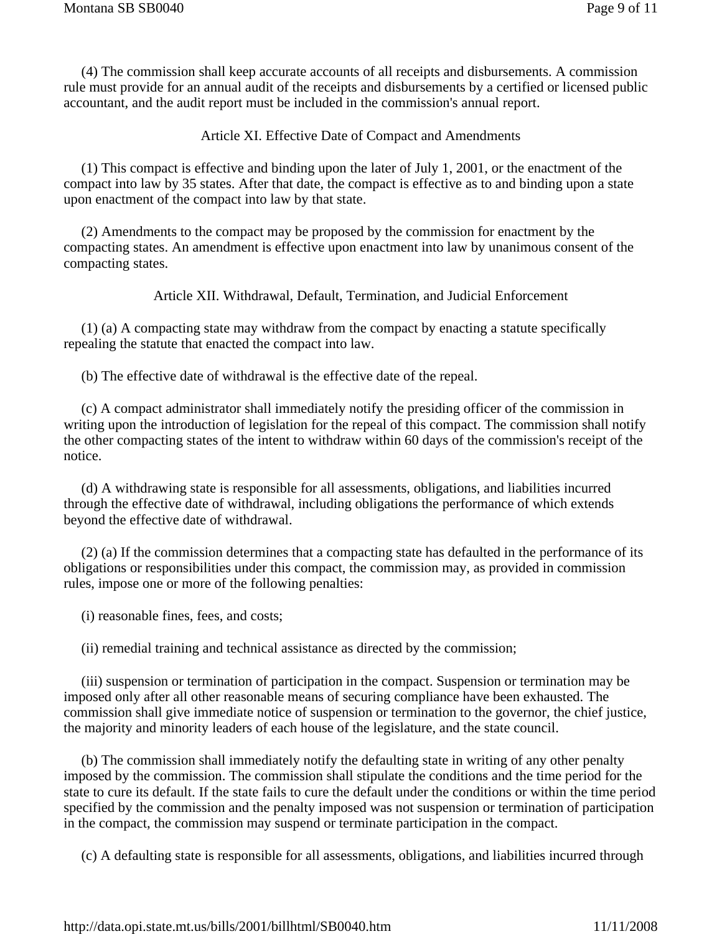(4) The commission shall keep accurate accounts of all receipts and disbursements. A commission rule must provide for an annual audit of the receipts and disbursements by a certified or licensed public accountant, and the audit report must be included in the commission's annual report.

Article XI. Effective Date of Compact and Amendments

 (1) This compact is effective and binding upon the later of July 1, 2001, or the enactment of the compact into law by 35 states. After that date, the compact is effective as to and binding upon a state upon enactment of the compact into law by that state.

 (2) Amendments to the compact may be proposed by the commission for enactment by the compacting states. An amendment is effective upon enactment into law by unanimous consent of the compacting states.

Article XII. Withdrawal, Default, Termination, and Judicial Enforcement

 (1) (a) A compacting state may withdraw from the compact by enacting a statute specifically repealing the statute that enacted the compact into law.

(b) The effective date of withdrawal is the effective date of the repeal.

 (c) A compact administrator shall immediately notify the presiding officer of the commission in writing upon the introduction of legislation for the repeal of this compact. The commission shall notify the other compacting states of the intent to withdraw within 60 days of the commission's receipt of the notice.

 (d) A withdrawing state is responsible for all assessments, obligations, and liabilities incurred through the effective date of withdrawal, including obligations the performance of which extends beyond the effective date of withdrawal.

 (2) (a) If the commission determines that a compacting state has defaulted in the performance of its obligations or responsibilities under this compact, the commission may, as provided in commission rules, impose one or more of the following penalties:

(i) reasonable fines, fees, and costs;

(ii) remedial training and technical assistance as directed by the commission;

 (iii) suspension or termination of participation in the compact. Suspension or termination may be imposed only after all other reasonable means of securing compliance have been exhausted. The commission shall give immediate notice of suspension or termination to the governor, the chief justice, the majority and minority leaders of each house of the legislature, and the state council.

 (b) The commission shall immediately notify the defaulting state in writing of any other penalty imposed by the commission. The commission shall stipulate the conditions and the time period for the state to cure its default. If the state fails to cure the default under the conditions or within the time period specified by the commission and the penalty imposed was not suspension or termination of participation in the compact, the commission may suspend or terminate participation in the compact.

(c) A defaulting state is responsible for all assessments, obligations, and liabilities incurred through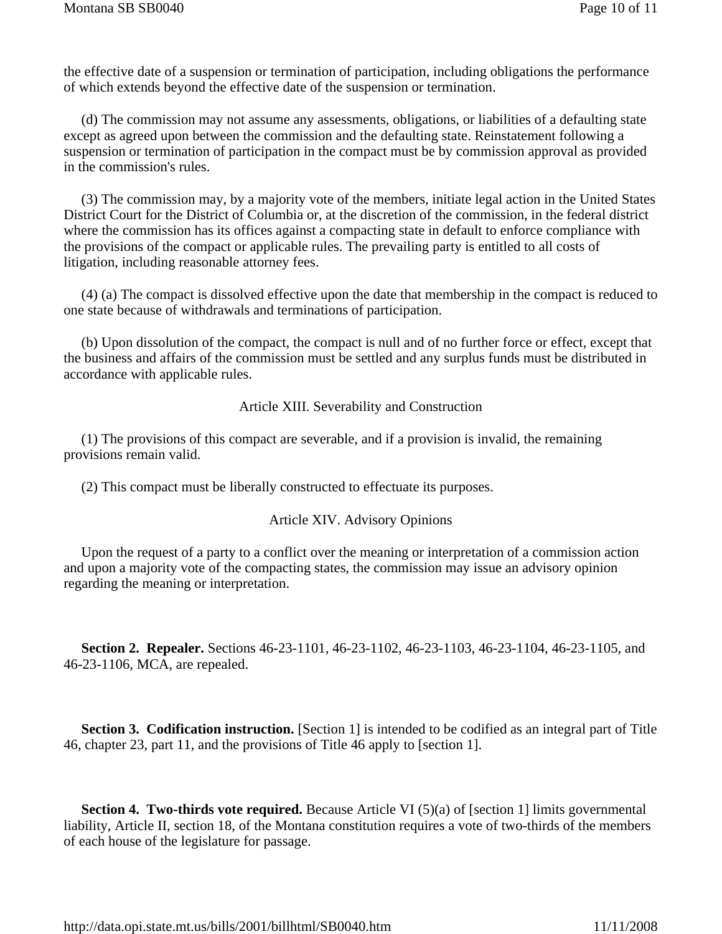the effective date of a suspension or termination of participation, including obligations the performance of which extends beyond the effective date of the suspension or termination.

 (d) The commission may not assume any assessments, obligations, or liabilities of a defaulting state except as agreed upon between the commission and the defaulting state. Reinstatement following a suspension or termination of participation in the compact must be by commission approval as provided in the commission's rules.

 (3) The commission may, by a majority vote of the members, initiate legal action in the United States District Court for the District of Columbia or, at the discretion of the commission, in the federal district where the commission has its offices against a compacting state in default to enforce compliance with the provisions of the compact or applicable rules. The prevailing party is entitled to all costs of litigation, including reasonable attorney fees.

 (4) (a) The compact is dissolved effective upon the date that membership in the compact is reduced to one state because of withdrawals and terminations of participation.

 (b) Upon dissolution of the compact, the compact is null and of no further force or effect, except that the business and affairs of the commission must be settled and any surplus funds must be distributed in accordance with applicable rules.

Article XIII. Severability and Construction

 (1) The provisions of this compact are severable, and if a provision is invalid, the remaining provisions remain valid.

(2) This compact must be liberally constructed to effectuate its purposes.

#### Article XIV. Advisory Opinions

 Upon the request of a party to a conflict over the meaning or interpretation of a commission action and upon a majority vote of the compacting states, the commission may issue an advisory opinion regarding the meaning or interpretation.

 **Section 2. Repealer.** Sections 46-23-1101, 46-23-1102, 46-23-1103, 46-23-1104, 46-23-1105, and 46-23-1106, MCA, are repealed.

**Section 3. Codification instruction.** [Section 1] is intended to be codified as an integral part of Title 46, chapter 23, part 11, and the provisions of Title 46 apply to [section 1].

**Section 4. Two-thirds vote required.** Because Article VI (5)(a) of [section 1] limits governmental liability, Article II, section 18, of the Montana constitution requires a vote of two-thirds of the members of each house of the legislature for passage.